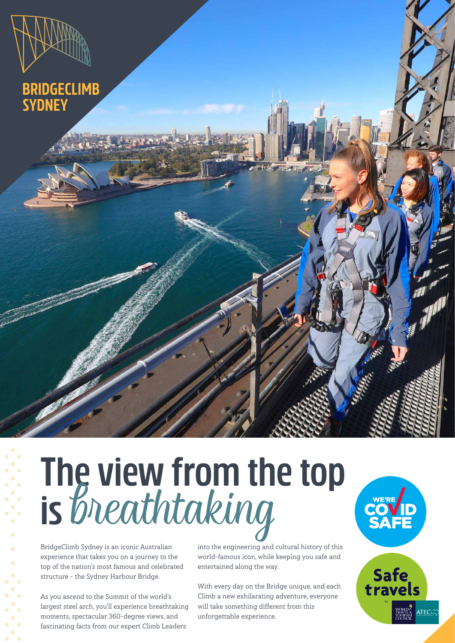# BRIDGECLIMB<br>SYDNEY

# **The view from the top is** breathtaking

BridgeClimb Sydney is an iconic Australian experience that takes you on a journey to the top of the nation's most famous and celebrated structure – the Sydney Harbour Bridge.

As you ascend to the Summit of the world's largest steel arch, you'll experience breathtaking moments, spectacular 360-degree views, and fascinating facts from our expert Climb Leaders

into the engineering and cultural history of this world-famous icon, while keeping you safe and entertained along the way.

WE'RE

Safe<br>travels

ATECC

With every day on the Bridge unique, and each Climb a new exhilarating adventure, everyone will take something different from this unforgettable experience.